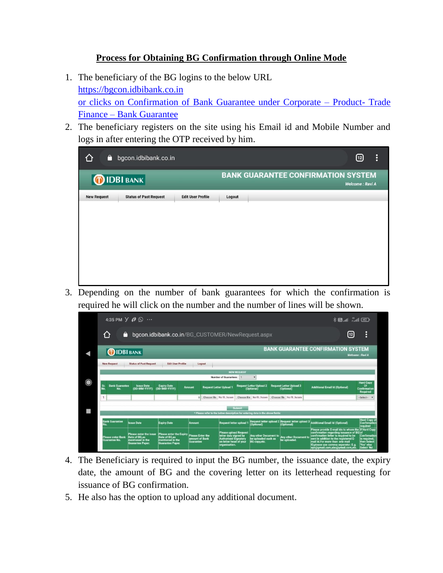## **Process for Obtaining BG Confirmation through Online Mode**

- 1. The beneficiary of the BG logins to the below URL [https://bgcon.idbibank.co.in](https://bgcon.idbibank.co.in/) or clicks on Confirmation of Bank Guarantee under Corporate – Product- Trade Finance – Bank Guarantee
- 2. The beneficiary registers on the site using his Email id and Mobile Number and logs in after entering the OTP received by him.

| ô                  | bgcon.idbibank.co.in          |                          |                                           | $\vdots$<br>⊡   |
|--------------------|-------------------------------|--------------------------|-------------------------------------------|-----------------|
|                    | <b>DIDBI BANK</b>             |                          | <b>BANK GUARANTEE CONFIRMATION SYSTEM</b> | Welcome: Ravi A |
| <b>New Request</b> | <b>Status of Past Request</b> | <b>Edit User Profile</b> | Logout                                    |                 |
|                    |                               |                          |                                           |                 |
|                    |                               |                          |                                           |                 |
|                    |                               |                          |                                           |                 |
|                    |                               |                          |                                           |                 |
|                    |                               |                          |                                           |                 |
|                    |                               |                          |                                           |                 |
|                    |                               |                          |                                           |                 |

3. Depending on the number of bank guarantees for which the confirmation is required he will click on the number and the number of lines will be shown.



- 4. The Beneficiary is required to input the BG number, the issuance date, the expiry date, the amount of BG and the covering letter on its letterhead requesting for issuance of BG confirmation.
- 5. He also has the option to upload any additional document.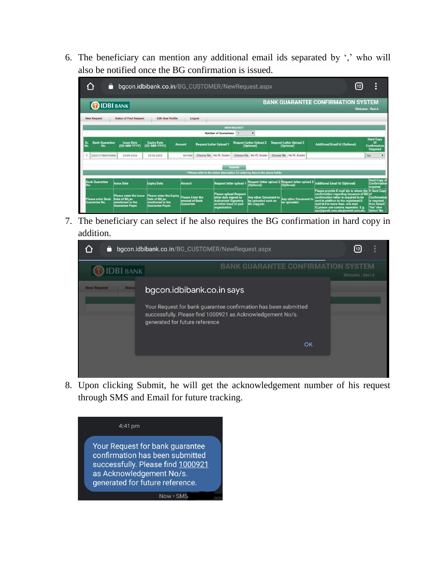6. The beneficiary can mention any additional email ids separated by ',' who will also be notified once the BG confirmation is issued.

| bgcon.idbibank.co.in/BG_CUSTOMER/NewRequest.aspx                                          |                                                                                        |                                                                                                |                                                        |                                                                                                                                 |  |                                                                             |  |                                                                                                                                                                                                                                                                                    |                                       | 12                                                 | о<br>n                                                                         |
|-------------------------------------------------------------------------------------------|----------------------------------------------------------------------------------------|------------------------------------------------------------------------------------------------|--------------------------------------------------------|---------------------------------------------------------------------------------------------------------------------------------|--|-----------------------------------------------------------------------------|--|------------------------------------------------------------------------------------------------------------------------------------------------------------------------------------------------------------------------------------------------------------------------------------|---------------------------------------|----------------------------------------------------|--------------------------------------------------------------------------------|
| <b>BANK GUARANTEE CONFIRMATION SYSTEM</b><br><b>DIDBI BANK</b>                            |                                                                                        |                                                                                                |                                                        |                                                                                                                                 |  |                                                                             |  |                                                                                                                                                                                                                                                                                    |                                       |                                                    | Welcome : Ravi A                                                               |
| <b>Status of Past Request</b><br><b>Edit User Profile</b><br><b>New Request</b><br>Logout |                                                                                        |                                                                                                |                                                        |                                                                                                                                 |  |                                                                             |  |                                                                                                                                                                                                                                                                                    |                                       |                                                    |                                                                                |
| <b>NEW REQUEST</b>                                                                        |                                                                                        |                                                                                                |                                                        |                                                                                                                                 |  |                                                                             |  |                                                                                                                                                                                                                                                                                    |                                       |                                                    |                                                                                |
| <b>Number of Guarantees</b>                                                               |                                                                                        |                                                                                                |                                                        |                                                                                                                                 |  |                                                                             |  |                                                                                                                                                                                                                                                                                    |                                       |                                                    |                                                                                |
| <b>Bank Guarantee</b><br>Sr.<br>No.<br>No.                                                | <b>Issue Date</b><br>(DD-MM-YYYY)                                                      | <b>Expiry Date</b><br>(DD-MM-YYYY)                                                             | <b>Request Letter Upload 1</b><br>Amount               |                                                                                                                                 |  | <b>Request Letter Upload 2</b><br>(Optional)                                |  | <b>Request Letter Upload 3</b><br>(Optional)                                                                                                                                                                                                                                       | <b>Additional Email Id (Optional)</b> |                                                    | <b>Hard Copy</b><br>Ωf<br><b>Confirmation</b><br><b>Required</b>               |
| 2020127IBGF00003                                                                          | 23-09-2020                                                                             | 25-03-2022                                                                                     | Choose file No fil hosen<br>567000                     |                                                                                                                                 |  | Choose file No fil hosen                                                    |  | Choose file No fil., hosen                                                                                                                                                                                                                                                         |                                       |                                                    | No                                                                             |
| Submit<br>* Please refer to the below description for entering data in the above fields:  |                                                                                        |                                                                                                |                                                        |                                                                                                                                 |  |                                                                             |  |                                                                                                                                                                                                                                                                                    |                                       |                                                    |                                                                                |
|                                                                                           |                                                                                        |                                                                                                |                                                        |                                                                                                                                 |  |                                                                             |  |                                                                                                                                                                                                                                                                                    |                                       |                                                    |                                                                                |
| <b>Bank Guarantee</b><br>No.                                                              | <b>Issue Date</b>                                                                      | <b>Expiry Date</b>                                                                             | Amount                                                 | <b>Request letter upload</b>                                                                                                    |  | (Optional)                                                                  |  | Request letter upload 2 Request letter upload 3<br>(Optional)                                                                                                                                                                                                                      | <b>Additional Email Id (Optional)</b> |                                                    | <b>Hard Copy of</b><br><b>Confirmation</b><br>required                         |
| <b>Please enter Bank</b><br><b>Guarantee No.</b>                                          | Please enter the issue<br>Date of BG as<br>mentioned in the<br><b>Guarantee Paper.</b> | <b>Please enter the Expiry</b><br>Date of BG as<br>mentioned in the<br><b>Guarantee Paper.</b> | <b>Please Enter the</b><br>amount of Bank<br>Guarantee | <b>Please upload Request</b><br>letter duly signed by<br><b>Authorised Signatory</b><br>on letter head of your<br>organisation. |  | <b>Any other Document to</b><br>be uploaded such as<br><b>BG</b> copy, etc. |  | confirmation regarding issuance of BG of<br>confirmation letter is required to be<br>Any other Document to<br>sent in addition to the registered E-<br>be uploaded.<br>mail id. For more than one mail<br>ID, please use comma seperator. E.q.<br>xyz@gmail.com,abc@ymail.com,etc. |                                       | Please provide E-mail ids to whom the If Hard Copy | <b>Confirmation</b><br>is required<br>then Select<br>Yes' else<br>Select 'No'. |

7. The beneficiary can select if he also requires the BG confirmation in hard copy in addition.



8. Upon clicking Submit, he will get the acknowledgement number of his request through SMS and Email for future tracking.